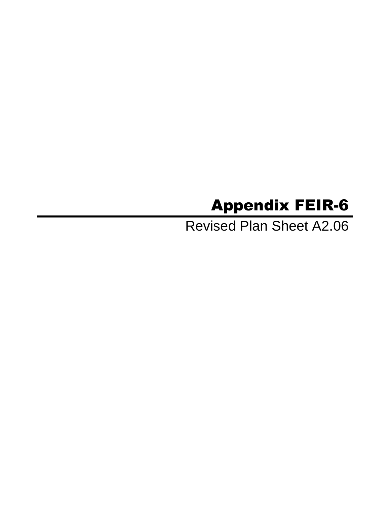## Appendix FEIR-6

Revised Plan Sheet A2.06